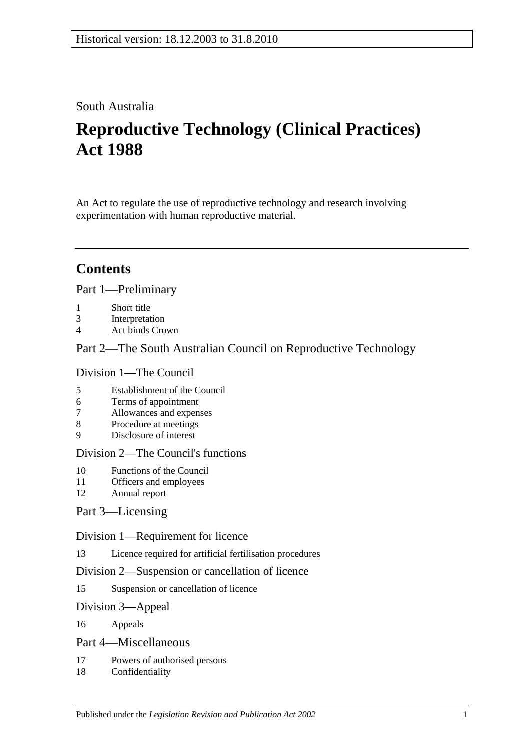## South Australia

# **Reproductive Technology (Clinical Practices) Act 1988**

An Act to regulate the use of reproductive technology and research involving experimentation with human reproductive material.

## **Contents**

[Part 1—Preliminary](#page-1-0)

- 1 [Short title](#page-1-1)
- 3 [Interpretation](#page-1-2)
- 4 [Act binds Crown](#page-1-3)

### [Part 2—The South Australian Council on Reproductive Technology](#page-2-0)

#### [Division 1—The Council](#page-2-1)

- 5 [Establishment of the Council](#page-2-2)
- 6 [Terms of appointment](#page-2-3)
- 7 [Allowances and expenses](#page-3-0)
- 8 [Procedure at meetings](#page-3-1)
- 9 [Disclosure of interest](#page-3-2)

### [Division 2—The Council's functions](#page-4-0)

- 10 [Functions of the Council](#page-4-1)
- 11 [Officers and employees](#page-5-0)
- 12 [Annual report](#page-5-1)

### [Part 3—Licensing](#page-5-2)

#### [Division 1—Requirement for licence](#page-5-3)

13 [Licence required for artificial fertilisation procedures](#page-5-4)

#### [Division 2—Suspension or cancellation of licence](#page-7-0)

15 [Suspension or cancellation of licence](#page-7-1)

#### [Division 3—Appeal](#page-7-2)

16 [Appeals](#page-7-3)

#### [Part 4—Miscellaneous](#page-7-4)

- 17 [Powers of authorised persons](#page-7-5)
- 18 [Confidentiality](#page-8-0)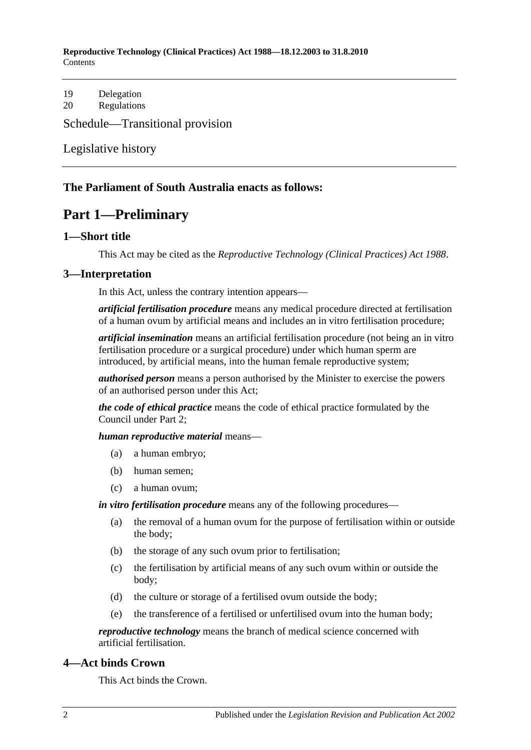**Reproductive Technology (Clinical Practices) Act 1988—18.12.2003 to 31.8.2010 Contents** 

19 [Delegation](#page-8-1) 20 [Regulations](#page-9-0)

[Schedule—Transitional provision](#page-9-1)

[Legislative history](#page-10-0)

#### <span id="page-1-0"></span>**The Parliament of South Australia enacts as follows:**

## **Part 1—Preliminary**

#### <span id="page-1-1"></span>**1—Short title**

This Act may be cited as the *Reproductive Technology (Clinical Practices) Act 1988*.

#### <span id="page-1-2"></span>**3—Interpretation**

In this Act, unless the contrary intention appears—

*artificial fertilisation procedure* means any medical procedure directed at fertilisation of a human ovum by artificial means and includes an in vitro fertilisation procedure;

*artificial insemination* means an artificial fertilisation procedure (not being an in vitro fertilisation procedure or a surgical procedure) under which human sperm are introduced, by artificial means, into the human female reproductive system;

*authorised person* means a person authorised by the Minister to exercise the powers of an authorised person under this Act;

*the code of ethical practice* means the code of ethical practice formulated by the Council under [Part 2;](#page-2-0)

#### *human reproductive material* means—

- (a) a human embryo;
- (b) human semen;
- (c) a human ovum;

*in vitro fertilisation procedure* means any of the following procedures—

- (a) the removal of a human ovum for the purpose of fertilisation within or outside the body;
- (b) the storage of any such ovum prior to fertilisation;
- (c) the fertilisation by artificial means of any such ovum within or outside the body;
- (d) the culture or storage of a fertilised ovum outside the body;
- (e) the transference of a fertilised or unfertilised ovum into the human body;

*reproductive technology* means the branch of medical science concerned with artificial fertilisation.

#### <span id="page-1-3"></span>**4—Act binds Crown**

This Act binds the Crown.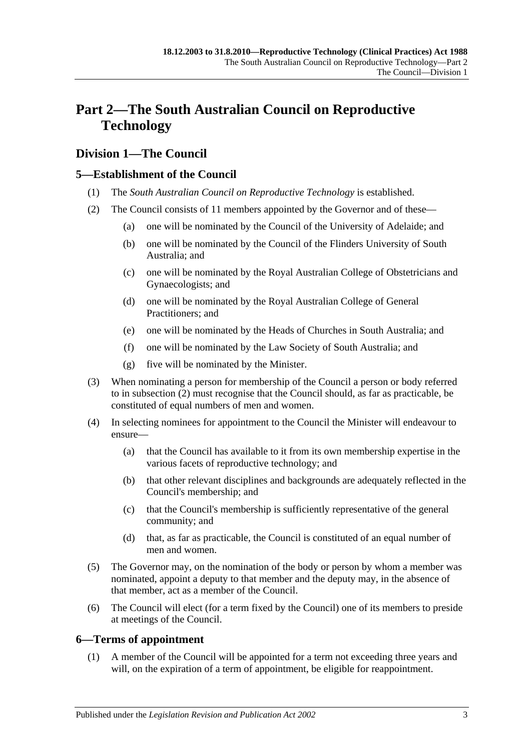## <span id="page-2-0"></span>**Part 2—The South Australian Council on Reproductive Technology**

## <span id="page-2-1"></span>**Division 1—The Council**

### <span id="page-2-2"></span>**5—Establishment of the Council**

- (1) The *South Australian Council on Reproductive Technology* is established.
- <span id="page-2-4"></span>(2) The Council consists of 11 members appointed by the Governor and of these—
	- (a) one will be nominated by the Council of the University of Adelaide; and
	- (b) one will be nominated by the Council of the Flinders University of South Australia; and
	- (c) one will be nominated by the Royal Australian College of Obstetricians and Gynaecologists; and
	- (d) one will be nominated by the Royal Australian College of General Practitioners; and
	- (e) one will be nominated by the Heads of Churches in South Australia; and
	- (f) one will be nominated by the Law Society of South Australia; and
	- (g) five will be nominated by the Minister.
- (3) When nominating a person for membership of the Council a person or body referred to in [subsection](#page-2-4) (2) must recognise that the Council should, as far as practicable, be constituted of equal numbers of men and women.
- (4) In selecting nominees for appointment to the Council the Minister will endeavour to ensure—
	- (a) that the Council has available to it from its own membership expertise in the various facets of reproductive technology; and
	- (b) that other relevant disciplines and backgrounds are adequately reflected in the Council's membership; and
	- (c) that the Council's membership is sufficiently representative of the general community; and
	- (d) that, as far as practicable, the Council is constituted of an equal number of men and women.
- (5) The Governor may, on the nomination of the body or person by whom a member was nominated, appoint a deputy to that member and the deputy may, in the absence of that member, act as a member of the Council.
- (6) The Council will elect (for a term fixed by the Council) one of its members to preside at meetings of the Council.

#### <span id="page-2-3"></span>**6—Terms of appointment**

(1) A member of the Council will be appointed for a term not exceeding three years and will, on the expiration of a term of appointment, be eligible for reappointment.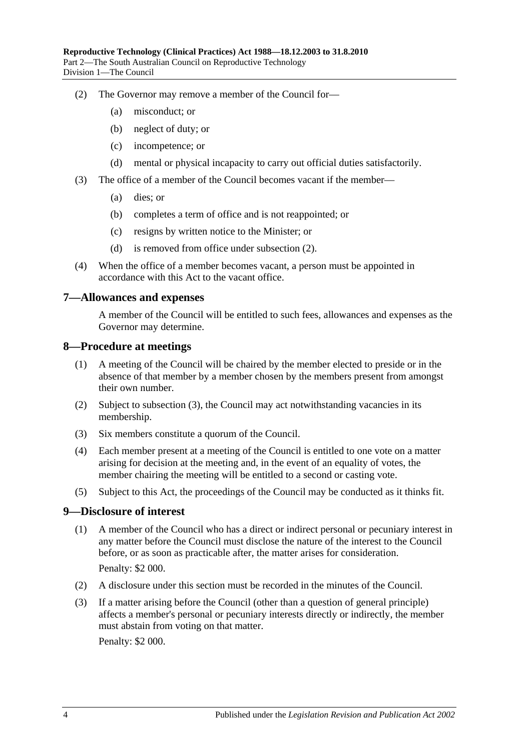- <span id="page-3-3"></span>(2) The Governor may remove a member of the Council for—
	- (a) misconduct; or
	- (b) neglect of duty; or
	- (c) incompetence; or
	- (d) mental or physical incapacity to carry out official duties satisfactorily.
- (3) The office of a member of the Council becomes vacant if the member—
	- (a) dies; or
	- (b) completes a term of office and is not reappointed; or
	- (c) resigns by written notice to the Minister; or
	- (d) is removed from office under [subsection](#page-3-3) (2).
- (4) When the office of a member becomes vacant, a person must be appointed in accordance with this Act to the vacant office.

#### <span id="page-3-0"></span>**7—Allowances and expenses**

A member of the Council will be entitled to such fees, allowances and expenses as the Governor may determine.

#### <span id="page-3-1"></span>**8—Procedure at meetings**

- (1) A meeting of the Council will be chaired by the member elected to preside or in the absence of that member by a member chosen by the members present from amongst their own number.
- (2) Subject to [subsection](#page-3-4) (3), the Council may act notwithstanding vacancies in its membership.
- <span id="page-3-4"></span>(3) Six members constitute a quorum of the Council.
- (4) Each member present at a meeting of the Council is entitled to one vote on a matter arising for decision at the meeting and, in the event of an equality of votes, the member chairing the meeting will be entitled to a second or casting vote.
- (5) Subject to this Act, the proceedings of the Council may be conducted as it thinks fit.

#### <span id="page-3-2"></span>**9—Disclosure of interest**

- (1) A member of the Council who has a direct or indirect personal or pecuniary interest in any matter before the Council must disclose the nature of the interest to the Council before, or as soon as practicable after, the matter arises for consideration. Penalty: \$2 000.
- (2) A disclosure under this section must be recorded in the minutes of the Council.
- (3) If a matter arising before the Council (other than a question of general principle) affects a member's personal or pecuniary interests directly or indirectly, the member must abstain from voting on that matter.

Penalty: \$2 000.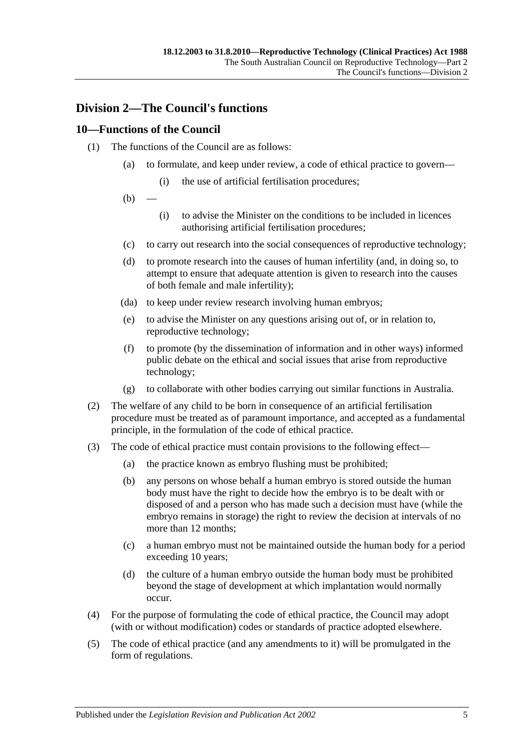## <span id="page-4-0"></span>**Division 2—The Council's functions**

### <span id="page-4-1"></span>**10—Functions of the Council**

- (1) The functions of the Council are as follows:
	- (a) to formulate, and keep under review, a code of ethical practice to govern—
		- (i) the use of artificial fertilisation procedures;
	- $(b)$
- (i) to advise the Minister on the conditions to be included in licences authorising artificial fertilisation procedures;
- (c) to carry out research into the social consequences of reproductive technology;
- (d) to promote research into the causes of human infertility (and, in doing so, to attempt to ensure that adequate attention is given to research into the causes of both female and male infertility);
- (da) to keep under review research involving human embryos;
- (e) to advise the Minister on any questions arising out of, or in relation to, reproductive technology;
- (f) to promote (by the dissemination of information and in other ways) informed public debate on the ethical and social issues that arise from reproductive technology;
- (g) to collaborate with other bodies carrying out similar functions in Australia.
- (2) The welfare of any child to be born in consequence of an artificial fertilisation procedure must be treated as of paramount importance, and accepted as a fundamental principle, in the formulation of the code of ethical practice.
- (3) The code of ethical practice must contain provisions to the following effect—
	- (a) the practice known as embryo flushing must be prohibited;
	- (b) any persons on whose behalf a human embryo is stored outside the human body must have the right to decide how the embryo is to be dealt with or disposed of and a person who has made such a decision must have (while the embryo remains in storage) the right to review the decision at intervals of no more than 12 months;
	- (c) a human embryo must not be maintained outside the human body for a period exceeding 10 years;
	- (d) the culture of a human embryo outside the human body must be prohibited beyond the stage of development at which implantation would normally occur.
- (4) For the purpose of formulating the code of ethical practice, the Council may adopt (with or without modification) codes or standards of practice adopted elsewhere.
- (5) The code of ethical practice (and any amendments to it) will be promulgated in the form of regulations.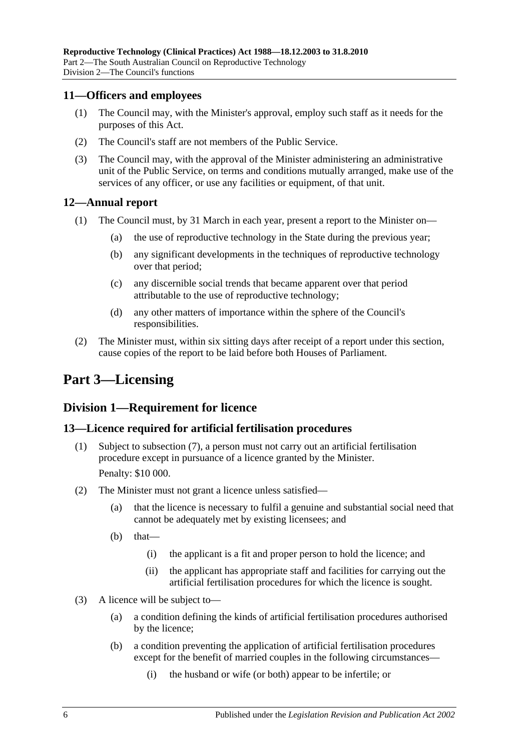#### <span id="page-5-0"></span>**11—Officers and employees**

- (1) The Council may, with the Minister's approval, employ such staff as it needs for the purposes of this Act.
- (2) The Council's staff are not members of the Public Service.
- (3) The Council may, with the approval of the Minister administering an administrative unit of the Public Service, on terms and conditions mutually arranged, make use of the services of any officer, or use any facilities or equipment, of that unit.

#### <span id="page-5-1"></span>**12—Annual report**

- (1) The Council must, by 31 March in each year, present a report to the Minister on—
	- (a) the use of reproductive technology in the State during the previous year;
	- (b) any significant developments in the techniques of reproductive technology over that period;
	- (c) any discernible social trends that became apparent over that period attributable to the use of reproductive technology;
	- (d) any other matters of importance within the sphere of the Council's responsibilities.
- (2) The Minister must, within six sitting days after receipt of a report under this section, cause copies of the report to be laid before both Houses of Parliament.

## <span id="page-5-2"></span>**Part 3—Licensing**

### <span id="page-5-3"></span>**Division 1—Requirement for licence**

#### <span id="page-5-4"></span>**13—Licence required for artificial fertilisation procedures**

- (1) Subject to [subsection](#page-6-0) (7), a person must not carry out an artificial fertilisation procedure except in pursuance of a licence granted by the Minister. Penalty: \$10 000.
- (2) The Minister must not grant a licence unless satisfied—
	- (a) that the licence is necessary to fulfil a genuine and substantial social need that cannot be adequately met by existing licensees; and
	- (b) that—
		- (i) the applicant is a fit and proper person to hold the licence; and
		- (ii) the applicant has appropriate staff and facilities for carrying out the artificial fertilisation procedures for which the licence is sought.
- <span id="page-5-5"></span>(3) A licence will be subject to—
	- (a) a condition defining the kinds of artificial fertilisation procedures authorised by the licence;
	- (b) a condition preventing the application of artificial fertilisation procedures except for the benefit of married couples in the following circumstances—
		- (i) the husband or wife (or both) appear to be infertile; or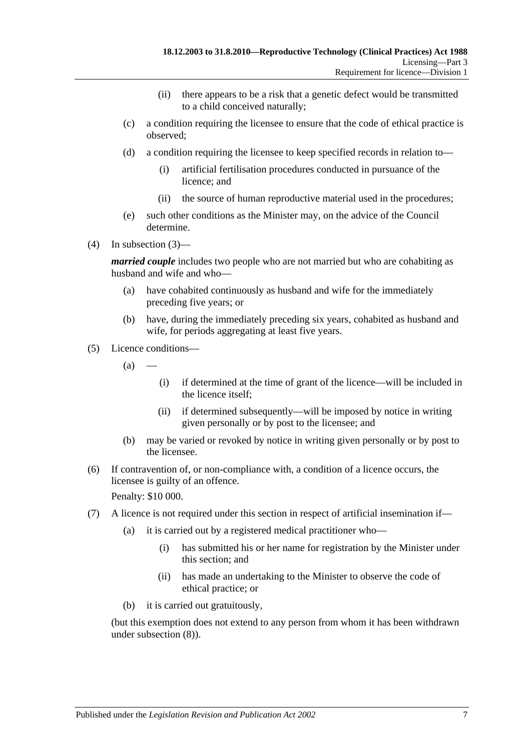- (ii) there appears to be a risk that a genetic defect would be transmitted to a child conceived naturally;
- (c) a condition requiring the licensee to ensure that the code of ethical practice is observed;
- (d) a condition requiring the licensee to keep specified records in relation to—
	- (i) artificial fertilisation procedures conducted in pursuance of the licence; and
	- (ii) the source of human reproductive material used in the procedures;
- (e) such other conditions as the Minister may, on the advice of the Council determine.
- (4) In [subsection](#page-5-5) (3)—

*married couple* includes two people who are not married but who are cohabiting as husband and wife and who—

- (a) have cohabited continuously as husband and wife for the immediately preceding five years; or
- (b) have, during the immediately preceding six years, cohabited as husband and wife, for periods aggregating at least five years.
- (5) Licence conditions—
	- $(a)$ 
		- (i) if determined at the time of grant of the licence—will be included in the licence itself;
		- (ii) if determined subsequently—will be imposed by notice in writing given personally or by post to the licensee; and
	- (b) may be varied or revoked by notice in writing given personally or by post to the licensee.
- (6) If contravention of, or non-compliance with, a condition of a licence occurs, the licensee is guilty of an offence.

Penalty: \$10 000.

- <span id="page-6-0"></span>(7) A licence is not required under this section in respect of artificial insemination if—
	- (a) it is carried out by a registered medical practitioner who—
		- (i) has submitted his or her name for registration by the Minister under this section; and
		- (ii) has made an undertaking to the Minister to observe the code of ethical practice; or
	- (b) it is carried out gratuitously,

(but this exemption does not extend to any person from whom it has been withdrawn under [subsection](#page-7-6) (8)).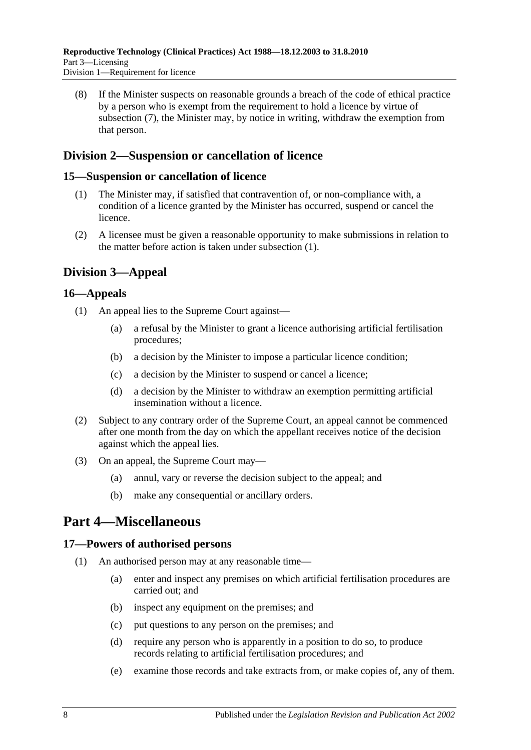<span id="page-7-6"></span>(8) If the Minister suspects on reasonable grounds a breach of the code of ethical practice by a person who is exempt from the requirement to hold a licence by virtue of [subsection](#page-6-0) (7), the Minister may, by notice in writing, withdraw the exemption from that person.

## <span id="page-7-0"></span>**Division 2—Suspension or cancellation of licence**

#### <span id="page-7-7"></span><span id="page-7-1"></span>**15—Suspension or cancellation of licence**

- (1) The Minister may, if satisfied that contravention of, or non-compliance with, a condition of a licence granted by the Minister has occurred, suspend or cancel the licence.
- (2) A licensee must be given a reasonable opportunity to make submissions in relation to the matter before action is taken under [subsection](#page-7-7) (1).

## <span id="page-7-2"></span>**Division 3—Appeal**

#### <span id="page-7-3"></span>**16—Appeals**

- (1) An appeal lies to the Supreme Court against—
	- (a) a refusal by the Minister to grant a licence authorising artificial fertilisation procedures;
	- (b) a decision by the Minister to impose a particular licence condition;
	- (c) a decision by the Minister to suspend or cancel a licence;
	- (d) a decision by the Minister to withdraw an exemption permitting artificial insemination without a licence.
- (2) Subject to any contrary order of the Supreme Court, an appeal cannot be commenced after one month from the day on which the appellant receives notice of the decision against which the appeal lies.
- (3) On an appeal, the Supreme Court may—
	- (a) annul, vary or reverse the decision subject to the appeal; and
	- (b) make any consequential or ancillary orders.

## <span id="page-7-4"></span>**Part 4—Miscellaneous**

#### <span id="page-7-5"></span>**17—Powers of authorised persons**

- (1) An authorised person may at any reasonable time—
	- (a) enter and inspect any premises on which artificial fertilisation procedures are carried out; and
	- (b) inspect any equipment on the premises; and
	- (c) put questions to any person on the premises; and
	- (d) require any person who is apparently in a position to do so, to produce records relating to artificial fertilisation procedures; and
	- (e) examine those records and take extracts from, or make copies of, any of them.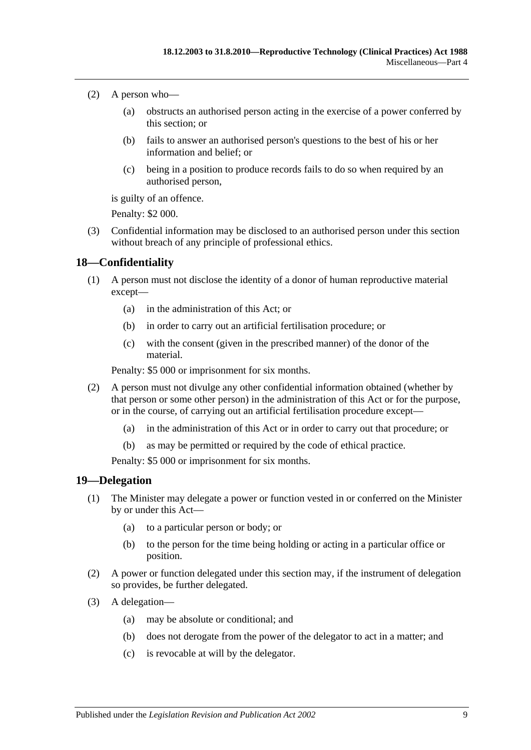- (2) A person who—
	- (a) obstructs an authorised person acting in the exercise of a power conferred by this section; or
	- (b) fails to answer an authorised person's questions to the best of his or her information and belief; or
	- (c) being in a position to produce records fails to do so when required by an authorised person,

is guilty of an offence.

Penalty: \$2 000.

(3) Confidential information may be disclosed to an authorised person under this section without breach of any principle of professional ethics.

#### <span id="page-8-0"></span>**18—Confidentiality**

- (1) A person must not disclose the identity of a donor of human reproductive material except—
	- (a) in the administration of this Act; or
	- (b) in order to carry out an artificial fertilisation procedure; or
	- (c) with the consent (given in the prescribed manner) of the donor of the material.

Penalty: \$5 000 or imprisonment for six months.

- (2) A person must not divulge any other confidential information obtained (whether by that person or some other person) in the administration of this Act or for the purpose, or in the course, of carrying out an artificial fertilisation procedure except—
	- (a) in the administration of this Act or in order to carry out that procedure; or
	- (b) as may be permitted or required by the code of ethical practice.

Penalty: \$5 000 or imprisonment for six months.

#### <span id="page-8-1"></span>**19—Delegation**

- (1) The Minister may delegate a power or function vested in or conferred on the Minister by or under this Act—
	- (a) to a particular person or body; or
	- (b) to the person for the time being holding or acting in a particular office or position.
- (2) A power or function delegated under this section may, if the instrument of delegation so provides, be further delegated.
- (3) A delegation—
	- (a) may be absolute or conditional; and
	- (b) does not derogate from the power of the delegator to act in a matter; and
	- (c) is revocable at will by the delegator.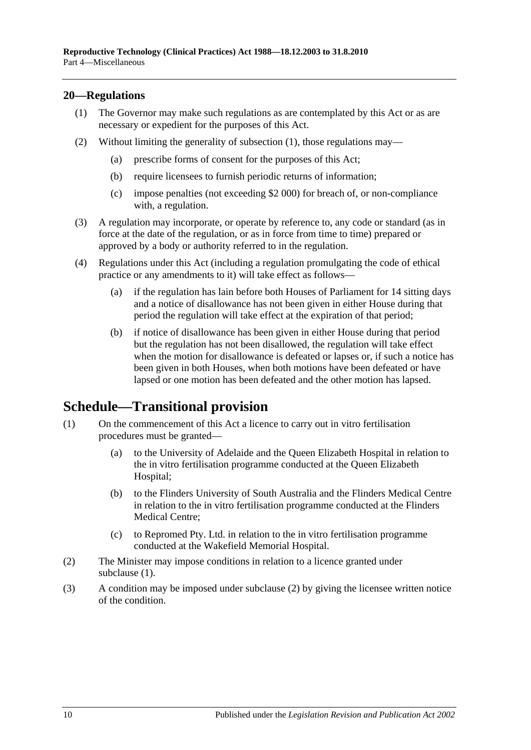#### <span id="page-9-2"></span><span id="page-9-0"></span>**20—Regulations**

- (1) The Governor may make such regulations as are contemplated by this Act or as are necessary or expedient for the purposes of this Act.
- (2) Without limiting the generality of [subsection](#page-9-2) (1), those regulations may—
	- (a) prescribe forms of consent for the purposes of this Act;
	- (b) require licensees to furnish periodic returns of information;
	- (c) impose penalties (not exceeding \$2 000) for breach of, or non-compliance with, a regulation.
- (3) A regulation may incorporate, or operate by reference to, any code or standard (as in force at the date of the regulation, or as in force from time to time) prepared or approved by a body or authority referred to in the regulation.
- (4) Regulations under this Act (including a regulation promulgating the code of ethical practice or any amendments to it) will take effect as follows—
	- (a) if the regulation has lain before both Houses of Parliament for 14 sitting days and a notice of disallowance has not been given in either House during that period the regulation will take effect at the expiration of that period;
	- (b) if notice of disallowance has been given in either House during that period but the regulation has not been disallowed, the regulation will take effect when the motion for disallowance is defeated or lapses or, if such a notice has been given in both Houses, when both motions have been defeated or have lapsed or one motion has been defeated and the other motion has lapsed.

## <span id="page-9-1"></span>**Schedule—Transitional provision**

- <span id="page-9-3"></span>(1) On the commencement of this Act a licence to carry out in vitro fertilisation procedures must be granted—
	- (a) to the University of Adelaide and the Queen Elizabeth Hospital in relation to the in vitro fertilisation programme conducted at the Queen Elizabeth Hospital;
	- (b) to the Flinders University of South Australia and the Flinders Medical Centre in relation to the in vitro fertilisation programme conducted at the Flinders Medical Centre;
	- (c) to Repromed Pty. Ltd. in relation to the in vitro fertilisation programme conducted at the Wakefield Memorial Hospital.
- <span id="page-9-4"></span>(2) The Minister may impose conditions in relation to a licence granted under [subclause](#page-9-3) (1).
- (3) A condition may be imposed under [subclause](#page-9-4) (2) by giving the licensee written notice of the condition.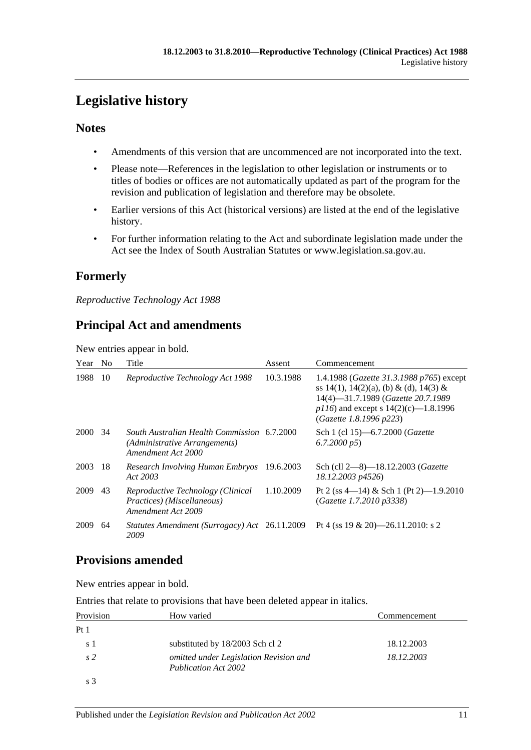# <span id="page-10-0"></span>**Legislative history**

### **Notes**

- Amendments of this version that are uncommenced are not incorporated into the text.
- Please note—References in the legislation to other legislation or instruments or to titles of bodies or offices are not automatically updated as part of the program for the revision and publication of legislation and therefore may be obsolete.
- Earlier versions of this Act (historical versions) are listed at the end of the legislative history.
- For further information relating to the Act and subordinate legislation made under the Act see the Index of South Australian Statutes or www.legislation.sa.gov.au.

## **Formerly**

*Reproductive Technology Act 1988*

## **Principal Act and amendments**

New entries appear in bold.

| Year No |     | Title                                                                                              | Assent    | Commencement                                                                                                                                                                                            |
|---------|-----|----------------------------------------------------------------------------------------------------|-----------|---------------------------------------------------------------------------------------------------------------------------------------------------------------------------------------------------------|
| 1988    | 10  | Reproductive Technology Act 1988                                                                   | 10.3.1988 | 1.4.1988 ( <i>Gazette 31.3.1988 p765</i> ) except<br>ss 14(1), 14(2)(a), (b) & (d), 14(3) &<br>14(4)-31.7.1989 (Gazette 20.7.1989<br>$p116$ ) and except s 14(2)(c)-1.8.1996<br>(Gazette 1.8.1996 p223) |
| 2000    | -34 | South Australian Health Commission 6.7.2000<br>(Administrative Arrangements)<br>Amendment Act 2000 |           | Sch 1 (cl 15)-6.7.2000 (Gazette<br>6.7.2000 p5                                                                                                                                                          |
| 2003    | 18  | Research Involving Human Embryos<br>Act 2003                                                       | 19.6.2003 | Sch (cll 2-8)-18.12.2003 (Gazette<br>18.12.2003 p4526)                                                                                                                                                  |
| 2009    | 43  | Reproductive Technology (Clinical<br>Practices) (Miscellaneous)<br>Amendment Act 2009              | 1.10.2009 | Pt 2 (ss 4—14) & Sch 1 (Pt 2)—1.9.2010<br>(Gazette 1.7.2010 p3338)                                                                                                                                      |
| 2009    | 64  | Statutes Amendment (Surrogacy) Act 26.11.2009<br>2009                                              |           | Pt 4 (ss 19 & 20)—26.11.2010: s 2                                                                                                                                                                       |

## **Provisions amended**

New entries appear in bold.

Entries that relate to provisions that have been deleted appear in italics.

| Provision       | How varied                                                     | Commencement |
|-----------------|----------------------------------------------------------------|--------------|
| Pt <sub>1</sub> |                                                                |              |
| s 1             | substituted by 18/2003 Sch cl 2                                | 18.12.2003   |
| s <sub>2</sub>  | omitted under Legislation Revision and<br>Publication Act 2002 | 18.12.2003   |
| $\rm s$ 3       |                                                                |              |